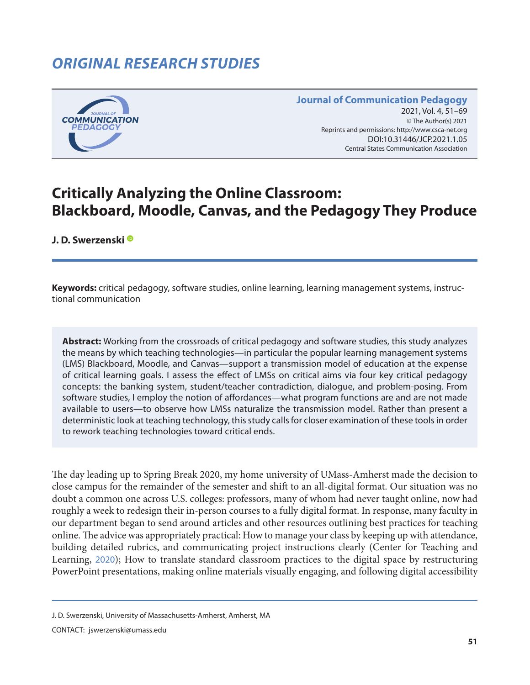# *ORIGINAL RESEARCH STUDIES*



#### **Journal of Communication Pedagogy** 2021, Vol. 4, 51-69 © The Author(s) 2021 Reprints and permissions: <http://www.csca-net.org> 2021, Vol. 4, 51–692021Reprints and permissions:<http://www.csca-net.org> DOI:10.31446/JCP.2021.1.05 Central States Communication Association Central States Communication Association

# **Critically Analyzing the Online Classroom: Blackboard, Moodle, Canvas, and the Pedagogy They Produce**

**J. D. Swerzensk[i](https://orcid.org/0000-0003-3490-529X)** 

**Keywords:** critical pedagogy, software studies, online learning, learning management systems, instructional communication

**Abstract:** Working from the crossroads of critical pedagogy and software studies, this study analyzes the means by which teaching technologies—in particular the popular learning management systems (LMS) Blackboard, Moodle, and Canvas—support a transmission model of education at the expense of critical learning goals. I assess the effect of LMSs on critical aims via four key critical pedagogy concepts: the banking system, student/teacher contradiction, dialogue, and problem-posing. From software studies, I employ the notion of affordances—what program functions are and are not made available to users—to observe how LMSs naturalize the transmission model. Rather than present a deterministic look at teaching technology, this study calls for closer examination of these tools in order to rework teaching technologies toward critical ends.

The day leading up to Spring Break 2020, my home university of UMass-Amherst made the decision to close campus for the remainder of the semester and shift to an all-digital format. Our situation was no doubt a common one across U.S. colleges: professors, many of whom had never taught online, now had roughly a week to redesign their in-person courses to a fully digital format. In response, many faculty in our department began to send around articles and other resources outlining best practices for teaching online. The advice was appropriately practical: How to manage your class by keeping up with attendance, building detailed rubrics, and communicating project instructions clearly (Center for Teaching and Learning, [2020](#page-16-0)); How to translate standard classroom practices to the digital space by restructuring PowerPoint presentations, making online materials visually engaging, and following digital accessibility

CONTACT: jswerzenski@umass.edu

J. D. Swerzenski, University of Massachusetts-Amherst, Amherst, MA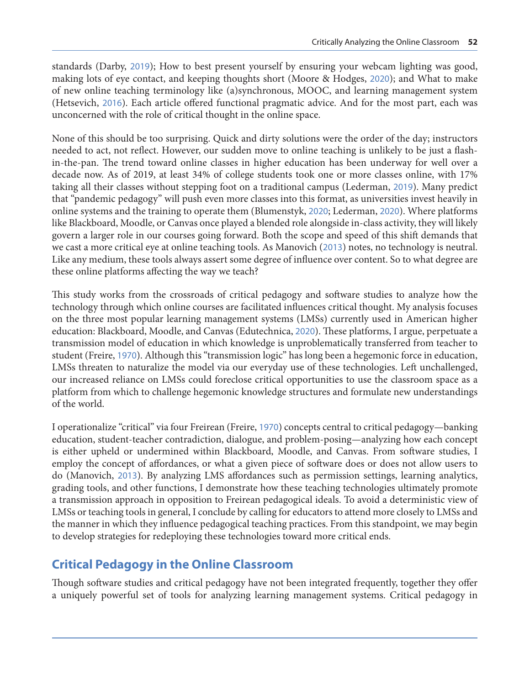standards (Darby, [2019](#page-16-0)); How to best present yourself by ensuring your webcam lighting was good, making lots of eye contact, and keeping thoughts short (Moore & Hodges, [2020](#page-18-0)); and What to make of new online teaching terminology like (a)synchronous, MOOC, and learning management system (Hetsevich, [2016](#page-17-0)). Each article offered functional pragmatic advice. And for the most part, each was unconcerned with the role of critical thought in the online space.

None of this should be too surprising. Quick and dirty solutions were the order of the day; instructors needed to act, not reflect. However, our sudden move to online teaching is unlikely to be just a flashin-the-pan. The trend toward online classes in higher education has been underway for well over a decade now. As of 2019, at least 34% of college students took one or more classes online, with 17% taking all their classes without stepping foot on a traditional campus (Lederman, [2019](#page-17-0)). Many predict that "pandemic pedagogy" will push even more classes into this format, as universities invest heavily in online systems and the training to operate them (Blumenstyk, [2020](#page-16-0); Lederman, [2020](#page-17-0)). Where platforms like Blackboard, Moodle, or Canvas once played a blended role alongside in-class activity, they will likely govern a larger role in our courses going forward. Both the scope and speed of this shift demands that we cast a more critical eye at online teaching tools. As Manovich ([2013](#page-17-0)) notes, no technology is neutral. Like any medium, these tools always assert some degree of influence over content. So to what degree are these online platforms affecting the way we teach?

This study works from the crossroads of critical pedagogy and software studies to analyze how the technology through which online courses are facilitated influences critical thought. My analysis focuses on the three most popular learning management systems (LMSs) currently used in American higher education: Blackboard, Moodle, and Canvas (Edutechnica, [2020](#page-17-0)). These platforms, I argue, perpetuate a transmission model of education in which knowledge is unproblematically transferred from teacher to student (Freire, [1970](#page-17-0)). Although this "transmission logic" has long been a hegemonic force in education, LMSs threaten to naturalize the model via our everyday use of these technologies. Left unchallenged, our increased reliance on LMSs could foreclose critical opportunities to use the classroom space as a platform from which to challenge hegemonic knowledge structures and formulate new understandings of the world.

I operationalize "critical" via four Freirean (Freire, [1970](#page-17-0)) concepts central to critical pedagogy—banking education, student-teacher contradiction, dialogue, and problem-posing—analyzing how each concept is either upheld or undermined within Blackboard, Moodle, and Canvas. From software studies, I employ the concept of affordances, or what a given piece of software does or does not allow users to do (Manovich, [2013](#page-17-0)). By analyzing LMS affordances such as permission settings, learning analytics, grading tools, and other functions, I demonstrate how these teaching technologies ultimately promote a transmission approach in opposition to Freirean pedagogical ideals. To avoid a deterministic view of LMSs or teaching tools in general, I conclude by calling for educators to attend more closely to LMSs and the manner in which they influence pedagogical teaching practices. From this standpoint, we may begin to develop strategies for redeploying these technologies toward more critical ends.

## **Critical Pedagogy in the Online Classroom**

Though software studies and critical pedagogy have not been integrated frequently, together they offer a uniquely powerful set of tools for analyzing learning management systems. Critical pedagogy in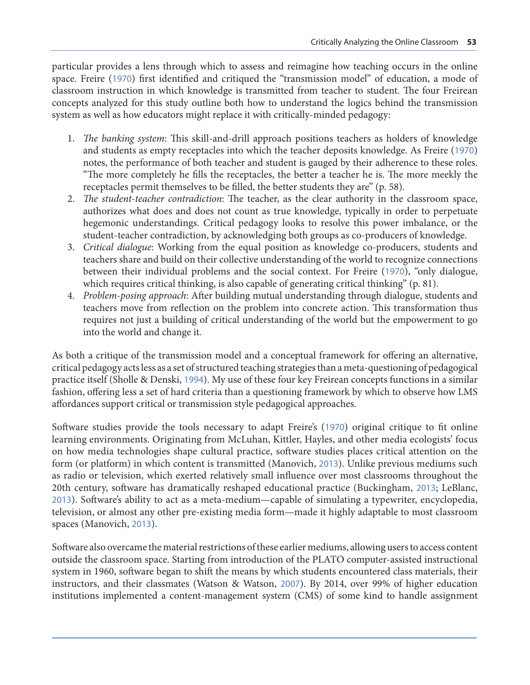particular provides a lens through which to assess and reimagine how teaching occurs in the online space. Freire ([1970](#page-17-0)) first identified and critiqued the "transmission model" of education, a mode of classroom instruction in which knowledge is transmitted from teacher to student. The four Freirean concepts analyzed for this study outline both how to understand the logics behind the transmission system as well as how educators might replace it with critically-minded pedagogy:

- 1. *The banking system*: This skill-and-drill approach positions teachers as holders of knowledge and students as empty receptacles into which the teacher deposits knowledge. As Freire ([1970](#page-17-0)) notes, the performance of both teacher and student is gauged by their adherence to these roles. "The more completely he fills the receptacles, the better a teacher he is. The more meekly the receptacles permit themselves to be filled, the better students they are" (p. 58).
- 2. *The student-teacher contradiction*: The teacher, as the clear authority in the classroom space, authorizes what does and does not count as true knowledge, typically in order to perpetuate hegemonic understandings. Critical pedagogy looks to resolve this power imbalance, or the student-teacher contradiction, by acknowledging both groups as co-producers of knowledge.
- 3. *Critical dialogue*: Working from the equal position as knowledge co-producers, students and teachers share and build on their collective understanding of the world to recognize connections between their individual problems and the social context. For Freire ([1970](#page-17-0)), "only dialogue, which requires critical thinking, is also capable of generating critical thinking" (p. 81).
- 4. *Problem-posing approach*: After building mutual understanding through dialogue, students and teachers move from reflection on the problem into concrete action. This transformation thus requires not just a building of critical understanding of the world but the empowerment to go into the world and change it.

As both a critique of the transmission model and a conceptual framework for offering an alternative, critical pedagogy acts less as a set of structured teaching strategies than a meta-questioning of pedagogical practice itself (Sholle & Denski, [1994](#page-18-0)). My use of these four key Freirean concepts functions in a similar fashion, offering less a set of hard criteria than a questioning framework by which to observe how LMS affordances support critical or transmission style pedagogical approaches.

Software studies provide the tools necessary to adapt Freire's ([1970](#page-17-0)) original critique to fit online learning environments. Originating from McLuhan, Kittler, Hayles, and other media ecologists' focus on how media technologies shape cultural practice, software studies places critical attention on the form (or platform) in which content is transmitted (Manovich, [2013](#page-17-0)). Unlike previous mediums such as radio or television, which exerted relatively small influence over most classrooms throughout the 20th century, software has dramatically reshaped educational practice (Buckingham, [2013](#page-16-0); LeBlanc, [2013](#page-17-0)). Software's ability to act as a meta-medium—capable of simulating a typewriter, encyclopedia, television, or almost any other pre-existing media form—made it highly adaptable to most classroom spaces (Manovich, [2013](#page-17-0)).

Software also overcame the material restrictions of these earlier mediums, allowing users to access content outside the classroom space. Starting from introduction of the PLATO computer-assisted instructional system in 1960, software began to shift the means by which students encountered class materials, their instructors, and their classmates (Watson & Watson, [2007](#page-18-0)). By 2014, over 99% of higher education institutions implemented a content-management system (CMS) of some kind to handle assignment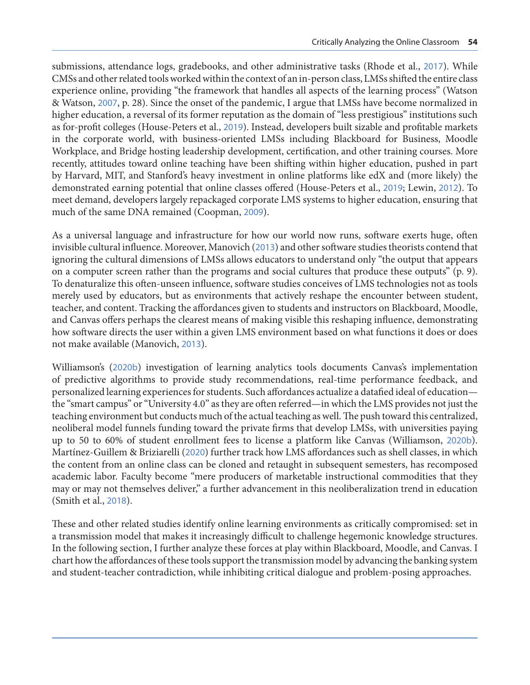submissions, attendance logs, gradebooks, and other administrative tasks (Rhode et al., [2017](#page-18-0)). While CMSs and other related tools worked within the context of an in-person class, LMSs shifted the entire class experience online, providing "the framework that handles all aspects of the learning process" (Watson & Watson, [2007](#page-18-0), p. 28). Since the onset of the pandemic, I argue that LMSs have become normalized in higher education, a reversal of its former reputation as the domain of "less prestigious" institutions such as for-profit colleges (House-Peters et al., [2019](#page-17-0)). Instead, developers built sizable and profitable markets in the corporate world, with business-oriented LMSs including Blackboard for Business, Moodle Workplace, and Bridge hosting leadership development, certification, and other training courses. More recently, attitudes toward online teaching have been shifting within higher education, pushed in part by Harvard, MIT, and Stanford's heavy investment in online platforms like edX and (more likely) the demonstrated earning potential that online classes offered (House-Peters et al., [2019](#page-17-0); Lewin, [2012](#page-17-0)). To meet demand, developers largely repackaged corporate LMS systems to higher education, ensuring that much of the same DNA remained (Coopman, [2009](#page-16-0)).

As a universal language and infrastructure for how our world now runs, software exerts huge, often invisible cultural influence. Moreover, Manovich ([2013](#page-17-0)) and other software studies theorists contend that ignoring the cultural dimensions of LMSs allows educators to understand only "the output that appears on a computer screen rather than the programs and social cultures that produce these outputs" (p. 9). To denaturalize this often-unseen influence, software studies conceives of LMS technologies not as tools merely used by educators, but as environments that actively reshape the encounter between student, teacher, and content. Tracking the affordances given to students and instructors on Blackboard, Moodle, and Canvas offers perhaps the clearest means of making visible this reshaping influence, demonstrating how software directs the user within a given LMS environment based on what functions it does or does not make available (Manovich, [2013](#page-17-0)).

Williamson's ([2020b](#page-18-0)) investigation of learning analytics tools documents Canvas's implementation of predictive algorithms to provide study recommendations, real-time performance feedback, and personalized learning experiences for students. Such affordances actualize a datafied ideal of education the "smart campus" or "University 4.0" as they are often referred—in which the LMS provides not just the teaching environment but conducts much of the actual teaching as well. The push toward this centralized, neoliberal model funnels funding toward the private firms that develop LMSs, with universities paying up to 50 to 60% of student enrollment fees to license a platform like Canvas (Williamson, [2020b](#page-18-0)). Martínez-Guillem & Briziarelli ([2020](#page-17-0)) further track how LMS affordances such as shell classes, in which the content from an online class can be cloned and retaught in subsequent semesters, has recomposed academic labor. Faculty become "mere producers of marketable instructional commodities that they may or may not themselves deliver," a further advancement in this neoliberalization trend in education (Smith et al., [2018](#page-18-0)).

These and other related studies identify online learning environments as critically compromised: set in a transmission model that makes it increasingly difficult to challenge hegemonic knowledge structures. In the following section, I further analyze these forces at play within Blackboard, Moodle, and Canvas. I chart how the affordances of these tools support the transmission model by advancing the banking system and student-teacher contradiction, while inhibiting critical dialogue and problem-posing approaches.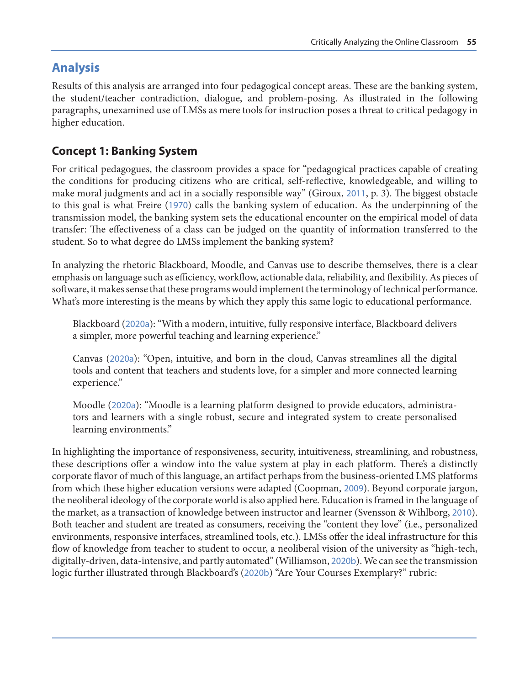## **Analysis**

Results of this analysis are arranged into four pedagogical concept areas. These are the banking system, the student/teacher contradiction, dialogue, and problem-posing. As illustrated in the following paragraphs, unexamined use of LMSs as mere tools for instruction poses a threat to critical pedagogy in higher education.

### **Concept 1: Banking System**

For critical pedagogues, the classroom provides a space for "pedagogical practices capable of creating the conditions for producing citizens who are critical, self-reflective, knowledgeable, and willing to make moral judgments and act in a socially responsible way" (Giroux, [2011](#page-17-0), p. 3). The biggest obstacle to this goal is what Freire ([1970](#page-17-0)) calls the banking system of education. As the underpinning of the transmission model, the banking system sets the educational encounter on the empirical model of data transfer: The effectiveness of a class can be judged on the quantity of information transferred to the student. So to what degree do LMSs implement the banking system?

In analyzing the rhetoric Blackboard, Moodle, and Canvas use to describe themselves, there is a clear emphasis on language such as efficiency, workflow, actionable data, reliability, and flexibility. As pieces of software, it makes sense that these programs would implement the terminology of technical performance. What's more interesting is the means by which they apply this same logic to educational performance.

Blackboard ([2020a](#page-15-0)): "With a modern, intuitive, fully responsive interface, Blackboard delivers a simpler, more powerful teaching and learning experience."

Canvas ([2020a](#page-16-0)): "Open, intuitive, and born in the cloud, Canvas streamlines all the digital tools and content that teachers and students love, for a simpler and more connected learning experience."

Moodle ([2020a](#page-18-0)): "Moodle is a learning platform designed to provide educators, administrators and learners with a single robust, secure and integrated system to create personalised learning environments."

In highlighting the importance of responsiveness, security, intuitiveness, streamlining, and robustness, these descriptions offer a window into the value system at play in each platform. There's a distinctly corporate flavor of much of this language, an artifact perhaps from the business-oriented LMS platforms from which these higher education versions were adapted (Coopman, [2009](#page-16-0)). Beyond corporate jargon, the neoliberal ideology of the corporate world is also applied here. Education is framed in the language of the market, as a transaction of knowledge between instructor and learner (Svensson & Wihlborg, [2010](#page-18-0)). Both teacher and student are treated as consumers, receiving the "content they love" (i.e., personalized environments, responsive interfaces, streamlined tools, etc.). LMSs offer the ideal infrastructure for this flow of knowledge from teacher to student to occur, a neoliberal vision of the university as "high-tech, digitally-driven, data-intensive, and partly automated" (Williamson, [2020b](#page-18-0)). We can see the transmission logic further illustrated through Blackboard's ([2020b](#page-16-0)) "Are Your Courses Exemplary?" rubric: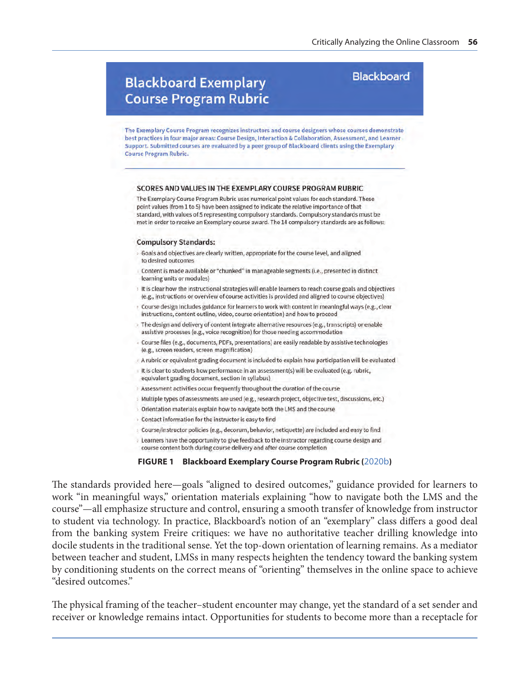## **Blackboard Exemplary Course Program Rubric**

### **Blackboard**

The Exemplary Course Program recognizes instructors and course designers whose courses demonstrate best practices in four major areas: Course Design, Interaction & Collaboration, Assessment, and Learner Support. Submitted courses are evaluated by a peer group of Blackboard clients using the Exemplary **Course Program Rubric.** 

#### SCORES AND VALUES IN THE EXEMPLARY COURSE PROGRAM RUBRIC

The Exemplary Course Program Rubric uses numerical point values for each standard. These point values (from 1 to 5) have been assigned to indicate the relative importance of that standard, with values of 5 representing compulsory standards. Compulsory standards must be met in order to receive an Exemplary course award. The 14 compulsory standards are as follows:

#### **Compulsory Standards:**

- Goals and objectives are clearly written, appropriate for the course level, and aligned to desired outcomes
- Content is made available or "chunked" in manageable segments (i.e., presented in distinct learning units or modules)
- It is clear how the instructional strategies will enable learners to reach course goals and objectives (e.g., instructions or overview of course activities is provided and aligned to course objectives)
- > Course design includes guidance for learners to work with content in meaningful ways (e.g., clear instructions, content outline, video, course orientation) and how to proceed
- > The design and delivery of content integrate alternative resources (e.g., transcripts) or enable assistive processes (e.g., voice recognition) for those needing accommodation
- Course files (e.g., documents, PDFs, presentations) are easily readable by assistive technologies (e.g., screen readers, screen magnification)
- A rubric or equivalent grading document is included to explain how participation will be evaluated
- It is clear to students how performance in an assessment(s) will be evaluated (e.g. rubric, equivalent grading document, section in syllabus)
- > Assessment activities occur frequently throughout the duration of the course
- > Multiple types of assessments are used (e.g., research project, objective test, discussions, etc.)
- Orientation materials explain how to navigate both the LMS and the course
- > Contact information for the instructor is easy to find
- Course/instructor policies (e.g., decorum, behavior, netiquette) are included and easy to find
- > Learners have the opportunity to give feedback to the instructor regarding course design and
- course content both during course delivery and after course completion

#### **FIGURE 1 Blackboard Exemplary Course Program Rubric (**[2020b](#page-16-0)**)**

The standards provided here—goals "aligned to desired outcomes," guidance provided for learners to work "in meaningful ways," orientation materials explaining "how to navigate both the LMS and the course"—all emphasize structure and control, ensuring a smooth transfer of knowledge from instructor to student via technology. In practice, Blackboard's notion of an "exemplary" class differs a good deal from the banking system Freire critiques: we have no authoritative teacher drilling knowledge into docile students in the traditional sense. Yet the top-down orientation of learning remains. As a mediator between teacher and student, LMSs in many respects heighten the tendency toward the banking system by conditioning students on the correct means of "orienting" themselves in the online space to achieve "desired outcomes."

The physical framing of the teacher–student encounter may change, yet the standard of a set sender and receiver or knowledge remains intact. Opportunities for students to become more than a receptacle for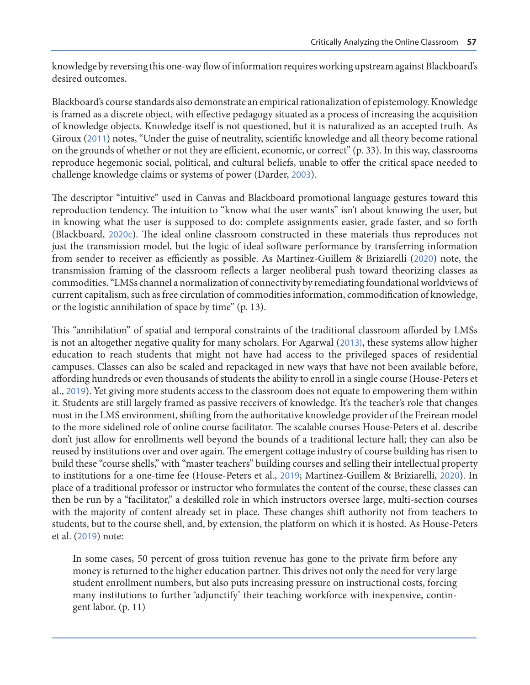knowledge by reversing this one-way flow of information requires working upstream against Blackboard's desired outcomes.

Blackboard's course standards also demonstrate an empirical rationalization of epistemology. Knowledge is framed as a discrete object, with effective pedagogy situated as a process of increasing the acquisition of knowledge objects. Knowledge itself is not questioned, but it is naturalized as an accepted truth. As Giroux ([2011](#page-17-0)) notes, "Under the guise of neutrality, scientific knowledge and all theory become rational on the grounds of whether or not they are efficient, economic, or correct" (p. 33). In this way, classrooms reproduce hegemonic social, political, and cultural beliefs, unable to offer the critical space needed to challenge knowledge claims or systems of power (Darder, [2003](#page-16-0)).

The descriptor "intuitive" used in Canvas and Blackboard promotional language gestures toward this reproduction tendency. The intuition to "know what the user wants" isn't about knowing the user, but in knowing what the user is supposed to do: complete assignments easier, grade faster, and so forth (Blackboard, [2020c](#page-16-0)). The ideal online classroom constructed in these materials thus reproduces not just the transmission model, but the logic of ideal software performance by transferring information from sender to receiver as efficiently as possible. As Martínez-Guillem & Briziarelli ([2020](#page-17-0)) note, the transmission framing of the classroom reflects a larger neoliberal push toward theorizing classes as commodities. "LMSs channel a normalization of connectivity by remediating foundational worldviews of current capitalism, such as free circulation of commodities information, commodification of knowledge, or the logistic annihilation of space by time" (p. 13).

This "annihilation" of spatial and temporal constraints of the traditional classroom afforded by LMSs is not an altogether negative quality for many scholars. For Agarwal ([2013\)](#page-15-0), these systems allow higher education to reach students that might not have had access to the privileged spaces of residential campuses. Classes can also be scaled and repackaged in new ways that have not been available before, affording hundreds or even thousands of students the ability to enroll in a single course (House-Peters et al., [2019](#page-17-0)). Yet giving more students access to the classroom does not equate to empowering them within it. Students are still largely framed as passive receivers of knowledge. It's the teacher's role that changes most in the LMS environment, shifting from the authoritative knowledge provider of the Freirean model to the more sidelined role of online course facilitator. The scalable courses House-Peters et al. describe don't just allow for enrollments well beyond the bounds of a traditional lecture hall; they can also be reused by institutions over and over again. The emergent cottage industry of course building has risen to build these "course shells," with "master teachers" building courses and selling their intellectual property to institutions for a one-time fee (House-Peters et al., [2019](#page-17-0); Martínez-Guillem & Briziarelli, [2020](#page-17-0)). In place of a traditional professor or instructor who formulates the content of the course, these classes can then be run by a "facilitator," a deskilled role in which instructors oversee large, multi-section courses with the majority of content already set in place. These changes shift authority not from teachers to students, but to the course shell, and, by extension, the platform on which it is hosted. As House-Peters et al. ([2019](#page-17-0)) note:

In some cases, 50 percent of gross tuition revenue has gone to the private firm before any money is returned to the higher education partner. This drives not only the need for very large student enrollment numbers, but also puts increasing pressure on instructional costs, forcing many institutions to further 'adjunctify' their teaching workforce with inexpensive, contingent labor. (p. 11)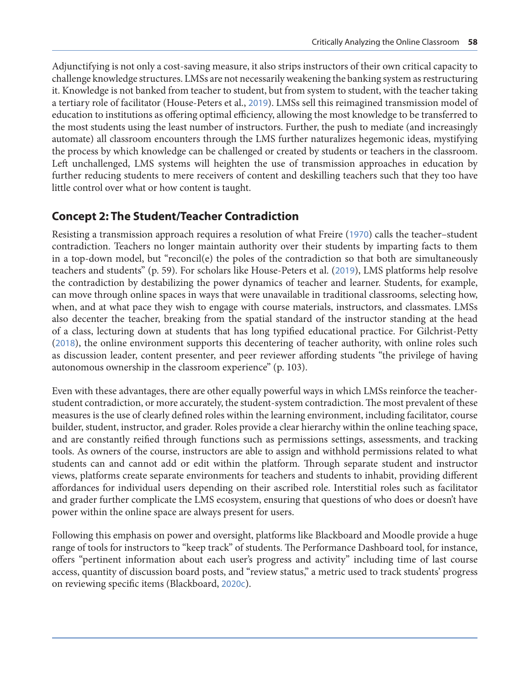Adjunctifying is not only a cost-saving measure, it also strips instructors of their own critical capacity to challenge knowledge structures. LMSs are not necessarily weakening the banking system as restructuring it. Knowledge is not banked from teacher to student, but from system to student, with the teacher taking a tertiary role of facilitator (House-Peters et al., [2019](#page-17-0)). LMSs sell this reimagined transmission model of education to institutions as offering optimal efficiency, allowing the most knowledge to be transferred to the most students using the least number of instructors. Further, the push to mediate (and increasingly automate) all classroom encounters through the LMS further naturalizes hegemonic ideas, mystifying the process by which knowledge can be challenged or created by students or teachers in the classroom. Left unchallenged, LMS systems will heighten the use of transmission approaches in education by further reducing students to mere receivers of content and deskilling teachers such that they too have little control over what or how content is taught.

### **Concept 2: The Student/Teacher Contradiction**

Resisting a transmission approach requires a resolution of what Freire ([1970](#page-17-0)) calls the teacher–student contradiction. Teachers no longer maintain authority over their students by imparting facts to them in a top-down model, but "reconcil(e) the poles of the contradiction so that both are simultaneously teachers and students" (p. 59). For scholars like House-Peters et al. ([2019](#page-17-0)), LMS platforms help resolve the contradiction by destabilizing the power dynamics of teacher and learner. Students, for example, can move through online spaces in ways that were unavailable in traditional classrooms, selecting how, when, and at what pace they wish to engage with course materials, instructors, and classmates. LMSs also decenter the teacher, breaking from the spatial standard of the instructor standing at the head of a class, lecturing down at students that has long typified educational practice. For Gilchrist-Petty ([2018](#page-17-0)), the online environment supports this decentering of teacher authority, with online roles such as discussion leader, content presenter, and peer reviewer affording students "the privilege of having autonomous ownership in the classroom experience" (p. 103).

Even with these advantages, there are other equally powerful ways in which LMSs reinforce the teacherstudent contradiction, or more accurately, the student-system contradiction. The most prevalent of these measures is the use of clearly defined roles within the learning environment, including facilitator, course builder, student, instructor, and grader. Roles provide a clear hierarchy within the online teaching space, and are constantly reified through functions such as permissions settings, assessments, and tracking tools. As owners of the course, instructors are able to assign and withhold permissions related to what students can and cannot add or edit within the platform. Through separate student and instructor views, platforms create separate environments for teachers and students to inhabit, providing different affordances for individual users depending on their ascribed role. Interstitial roles such as facilitator and grader further complicate the LMS ecosystem, ensuring that questions of who does or doesn't have power within the online space are always present for users.

Following this emphasis on power and oversight, platforms like Blackboard and Moodle provide a huge range of tools for instructors to "keep track" of students. The Performance Dashboard tool, for instance, offers "pertinent information about each user's progress and activity" including time of last course access, quantity of discussion board posts, and "review status," a metric used to track students' progress on reviewing specific items (Blackboard, [2020c](#page-16-0)).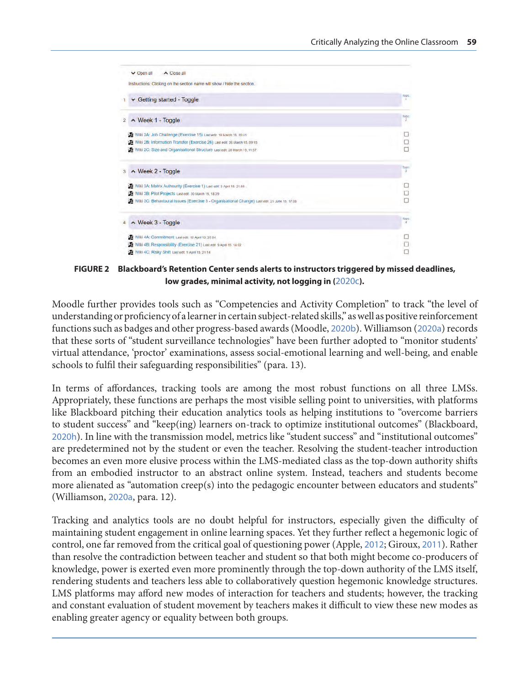

**FIGURE 2 Blackboard's Retention Center sends alerts to instructors triggered by missed deadlines, low grades, minimal activity, not logging in (**[2020c](#page-16-0)**).**

Moodle further provides tools such as "Competencies and Activity Completion" to track "the level of understanding or proficiency of a learner in certain subject-related skills," as well as positive reinforcement functions such as badges and other progress-based awards (Moodle, [2020b](#page-18-0)). Williamson ([2020a](#page-18-0)) records that these sorts of "student surveillance technologies" have been further adopted to "monitor students' virtual attendance, 'proctor' examinations, assess social-emotional learning and well-being, and enable schools to fulfil their safeguarding responsibilities" (para. 13).

In terms of affordances, tracking tools are among the most robust functions on all three LMSs. Appropriately, these functions are perhaps the most visible selling point to universities, with platforms like Blackboard pitching their education analytics tools as helping institutions to "overcome barriers to student success" and "keep(ing) learners on-track to optimize institutional outcomes" (Blackboard, [2020h](#page-16-0)). In line with the transmission model, metrics like "student success" and "institutional outcomes" are predetermined not by the student or even the teacher. Resolving the student-teacher introduction becomes an even more elusive process within the LMS-mediated class as the top-down authority shifts from an embodied instructor to an abstract online system. Instead, teachers and students become more alienated as "automation creep(s) into the pedagogic encounter between educators and students" (Williamson, [2020a](#page-18-0), para. 12).

Tracking and analytics tools are no doubt helpful for instructors, especially given the difficulty of maintaining student engagement in online learning spaces. Yet they further reflect a hegemonic logic of control, one far removed from the critical goal of questioning power (Apple, [2012](#page-15-0); Giroux, [2011](#page-17-0)). Rather than resolve the contradiction between teacher and student so that both might become co-producers of knowledge, power is exerted even more prominently through the top-down authority of the LMS itself, rendering students and teachers less able to collaboratively question hegemonic knowledge structures. LMS platforms may afford new modes of interaction for teachers and students; however, the tracking and constant evaluation of student movement by teachers makes it difficult to view these new modes as enabling greater agency or equality between both groups.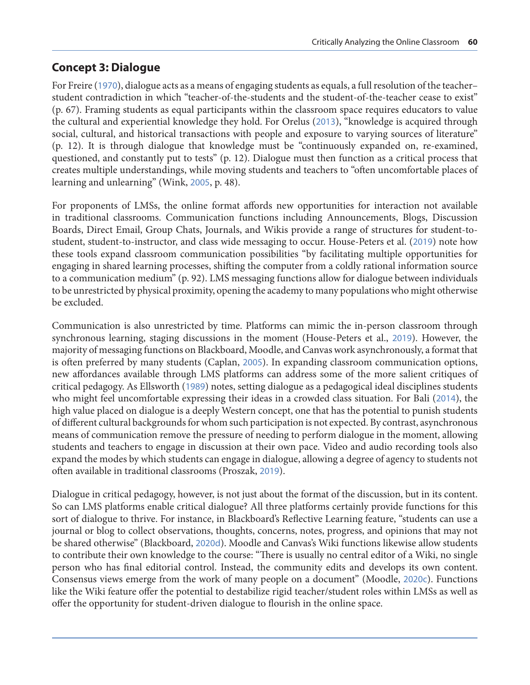### **Concept 3: Dialogue**

For Freire ([1970](#page-17-0)), dialogue acts as a means of engaging students as equals, a full resolution of the teacher– student contradiction in which "teacher-of-the-students and the student-of-the-teacher cease to exist" (p. 67). Framing students as equal participants within the classroom space requires educators to value the cultural and experiential knowledge they hold. For Orelus ([2013](#page-18-0)), "knowledge is acquired through social, cultural, and historical transactions with people and exposure to varying sources of literature" (p. 12). It is through dialogue that knowledge must be "continuously expanded on, re-examined, questioned, and constantly put to tests" (p. 12). Dialogue must then function as a critical process that creates multiple understandings, while moving students and teachers to "often uncomfortable places of learning and unlearning" (Wink, [2005](#page-18-0), p. 48).

For proponents of LMSs, the online format affords new opportunities for interaction not available in traditional classrooms. Communication functions including Announcements, Blogs, Discussion Boards, Direct Email, Group Chats, Journals, and Wikis provide a range of structures for student-tostudent, student-to-instructor, and class wide messaging to occur. House-Peters et al. ([2019](#page-17-0)) note how these tools expand classroom communication possibilities "by facilitating multiple opportunities for engaging in shared learning processes, shifting the computer from a coldly rational information source to a communication medium" (p. 92). LMS messaging functions allow for dialogue between individuals to be unrestricted by physical proximity, opening the academy to many populations who might otherwise be excluded.

Communication is also unrestricted by time. Platforms can mimic the in-person classroom through synchronous learning, staging discussions in the moment (House-Peters et al., [2019](#page-17-0)). However, the majority of messaging functions on Blackboard, Moodle, and Canvas work asynchronously, a format that is often preferred by many students (Caplan, [2005](#page-16-0)). In expanding classroom communication options, new affordances available through LMS platforms can address some of the more salient critiques of critical pedagogy. As Ellsworth ([1989](#page-17-0)) notes, setting dialogue as a pedagogical ideal disciplines students who might feel uncomfortable expressing their ideas in a crowded class situation. For Bali ([2014](#page-15-0)), the high value placed on dialogue is a deeply Western concept, one that has the potential to punish students of different cultural backgrounds for whom such participation is not expected. By contrast, asynchronous means of communication remove the pressure of needing to perform dialogue in the moment, allowing students and teachers to engage in discussion at their own pace. Video and audio recording tools also expand the modes by which students can engage in dialogue, allowing a degree of agency to students not often available in traditional classrooms (Proszak, [2019](#page-18-0)).

Dialogue in critical pedagogy, however, is not just about the format of the discussion, but in its content. So can LMS platforms enable critical dialogue? All three platforms certainly provide functions for this sort of dialogue to thrive. For instance, in Blackboard's Reflective Learning feature, "students can use a journal or blog to collect observations, thoughts, concerns, notes, progress, and opinions that may not be shared otherwise" (Blackboard, [2020d](#page-16-0)). Moodle and Canvas's Wiki functions likewise allow students to contribute their own knowledge to the course: "There is usually no central editor of a Wiki, no single person who has final editorial control. Instead, the community edits and develops its own content. Consensus views emerge from the work of many people on a document" (Moodle, [2020c](#page-18-0)). Functions like the Wiki feature offer the potential to destabilize rigid teacher/student roles within LMSs as well as offer the opportunity for student-driven dialogue to flourish in the online space.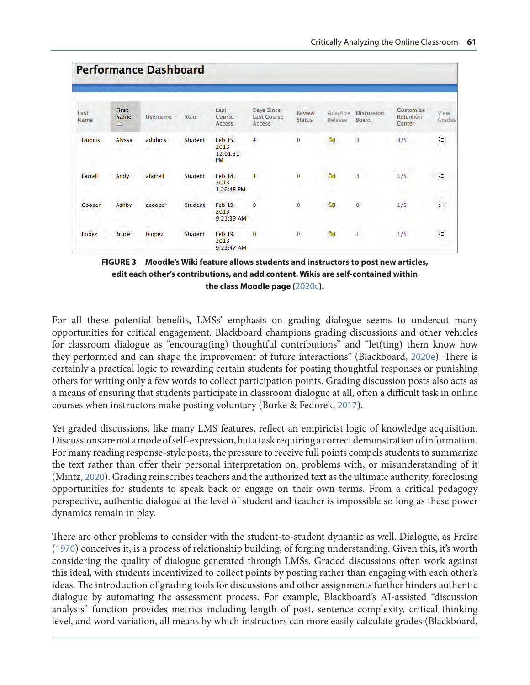|                       |                                  | <b>Performance Dashboard</b> |         |                                   |                                            |                         |                     |                            |                                  |                |
|-----------------------|----------------------------------|------------------------------|---------|-----------------------------------|--------------------------------------------|-------------------------|---------------------|----------------------------|----------------------------------|----------------|
| Last<br>Name          | <b>First</b><br><b>Name</b><br>△ | Username                     | Role    | Last<br>Course<br>Access          | Days Since<br><b>Last Course</b><br>Access | Review<br><b>Status</b> | Adaptive<br>Release | <b>Discussion</b><br>Board | Customize<br>Retention<br>Center | View<br>Grades |
| <b>Dubois</b>         | Alyssa                           | adubois                      | Student | Feb 15,<br>2013<br>12:01:31<br>PM | 4                                          | 0                       | ¢                   | 3                          | 3/5                              | $\overline{8}$ |
| Farrell<br><b>SHO</b> | Andy                             | afarrell                     | Student | Feb 18,<br>2013<br>1:26:48 PM     | $\bar{1}$                                  | ò<br>w.                 | G                   | $\overline{3}$             | 1/5                              | $\approx$      |
| Cooper                | <b>Ashby</b>                     | acooper                      | Student | Feb 19,<br>2013<br>9:21:39 AM     | $\mathbf{0}$                               | $\mathbf 0$             | Ò                   | $\mathbf{0}$               | 1/5                              | $\frac{1}{2}$  |
| Lopez                 | <b>Bruce</b>                     | blopez                       | Student | Feb 19,<br>2013<br>9:23:47 AM     | $\circ$                                    | O.                      | Ù                   | $\mathbf{I}$               | 1/5                              | $\frac{1}{20}$ |

**FIGURE 3 Moodle's Wiki feature allows students and instructors to post new articles, edit each other's contributions, and add content. Wikis are self-contained within the class Moodle page (**[2020c](#page-18-0)**).** 

For all these potential benefits, LMSs' emphasis on grading dialogue seems to undercut many opportunities for critical engagement. Blackboard champions grading discussions and other vehicles for classroom dialogue as "encourag(ing) thoughtful contributions" and "let(ting) them know how they performed and can shape the improvement of future interactions" (Blackboard, [2020e](#page-16-0)). There is certainly a practical logic to rewarding certain students for posting thoughtful responses or punishing others for writing only a few words to collect participation points. Grading discussion posts also acts as a means of ensuring that students participate in classroom dialogue at all, often a difficult task in online courses when instructors make posting voluntary (Burke & Fedorek, [2017](#page-16-0)).

Yet graded discussions, like many LMS features, reflect an empiricist logic of knowledge acquisition. Discussions are not a mode of self-expression, but a task requiring a correct demonstration of information. For many reading response-style posts, the pressure to receive full points compels students to summarize the text rather than offer their personal interpretation on, problems with, or misunderstanding of it (Mintz, [2020](#page-18-0)). Grading reinscribes teachers and the authorized text as the ultimate authority, foreclosing opportunities for students to speak back or engage on their own terms. From a critical pedagogy perspective, authentic dialogue at the level of student and teacher is impossible so long as these power dynamics remain in play.

There are other problems to consider with the student-to-student dynamic as well. Dialogue, as Freire ([1970](#page-17-0)) conceives it, is a process of relationship building, of forging understanding. Given this, it's worth considering the quality of dialogue generated through LMSs. Graded discussions often work against this ideal, with students incentivized to collect points by posting rather than engaging with each other's ideas. The introduction of grading tools for discussions and other assignments further hinders authentic dialogue by automating the assessment process. For example, Blackboard's AI-assisted "discussion analysis" function provides metrics including length of post, sentence complexity, critical thinking level, and word variation, all means by which instructors can more easily calculate grades (Blackboard,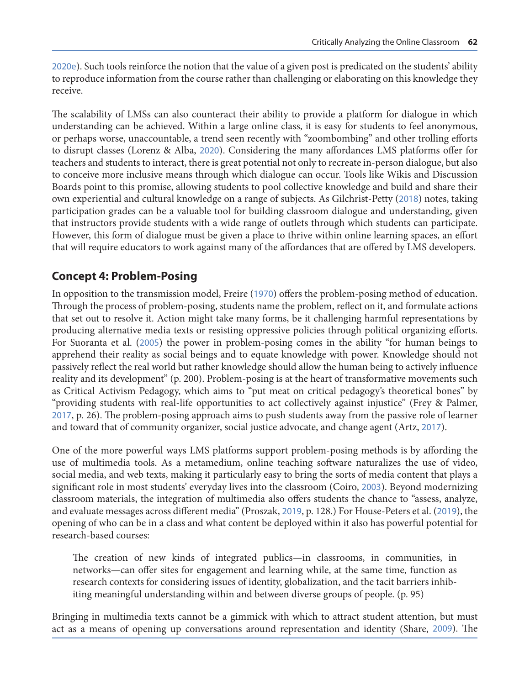[2020e](#page-16-0)). Such tools reinforce the notion that the value of a given post is predicated on the students' ability to reproduce information from the course rather than challenging or elaborating on this knowledge they receive.

The scalability of LMSs can also counteract their ability to provide a platform for dialogue in which understanding can be achieved. Within a large online class, it is easy for students to feel anonymous, or perhaps worse, unaccountable, a trend seen recently with "zoombombing" and other trolling efforts to disrupt classes (Lorenz & Alba, [2020](#page-17-0)). Considering the many affordances LMS platforms offer for teachers and students to interact, there is great potential not only to recreate in-person dialogue, but also to conceive more inclusive means through which dialogue can occur. Tools like Wikis and Discussion Boards point to this promise, allowing students to pool collective knowledge and build and share their own experiential and cultural knowledge on a range of subjects. As Gilchrist-Petty ([2018](#page-17-0)) notes, taking participation grades can be a valuable tool for building classroom dialogue and understanding, given that instructors provide students with a wide range of outlets through which students can participate. However, this form of dialogue must be given a place to thrive within online learning spaces, an effort that will require educators to work against many of the affordances that are offered by LMS developers.

### **Concept 4: Problem-Posing**

In opposition to the transmission model, Freire ([1970](#page-17-0)) offers the problem-posing method of education. Through the process of problem-posing, students name the problem, reflect on it, and formulate actions that set out to resolve it. Action might take many forms, be it challenging harmful representations by producing alternative media texts or resisting oppressive policies through political organizing efforts. For Suoranta et al. ([2005](#page-18-0)) the power in problem-posing comes in the ability "for human beings to apprehend their reality as social beings and to equate knowledge with power. Knowledge should not passively reflect the real world but rather knowledge should allow the human being to actively influence reality and its development" (p. 200). Problem-posing is at the heart of transformative movements such as Critical Activism Pedagogy, which aims to "put meat on critical pedagogy's theoretical bones" by "providing students with real-life opportunities to act collectively against injustice" (Frey & Palmer, [2017](#page-17-0), p. 26). The problem-posing approach aims to push students away from the passive role of learner and toward that of community organizer, social justice advocate, and change agent (Artz, [2017](#page-15-0)).

One of the more powerful ways LMS platforms support problem-posing methods is by affording the use of multimedia tools. As a metamedium, online teaching software naturalizes the use of video, social media, and web texts, making it particularly easy to bring the sorts of media content that plays a significant role in most students' everyday lives into the classroom (Coiro, [2003](#page-16-0)). Beyond modernizing classroom materials, the integration of multimedia also offers students the chance to "assess, analyze, and evaluate messages across different media" (Proszak, [2019](#page-18-0), p. 128.) For House-Peters et al. ([2019](#page-17-0)), the opening of who can be in a class and what content be deployed within it also has powerful potential for research-based courses:

The creation of new kinds of integrated publics—in classrooms, in communities, in networks—can offer sites for engagement and learning while, at the same time, function as research contexts for considering issues of identity, globalization, and the tacit barriers inhibiting meaningful understanding within and between diverse groups of people. (p. 95)

Bringing in multimedia texts cannot be a gimmick with which to attract student attention, but must act as a means of opening up conversations around representation and identity (Share, [2009](#page-18-0)). The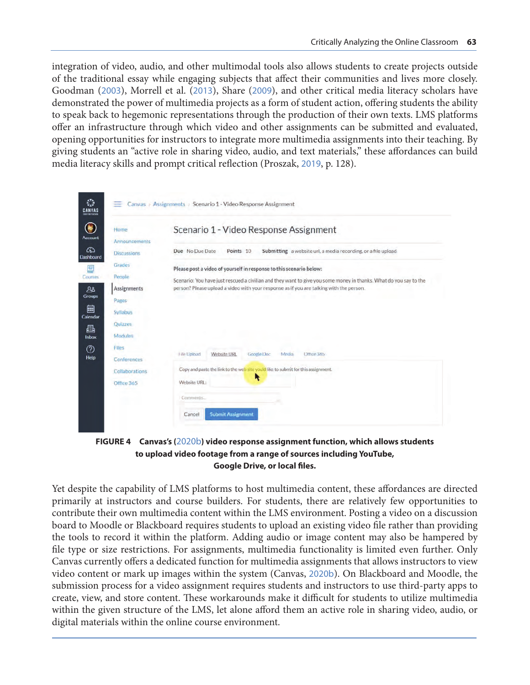integration of video, audio, and other multimodal tools also allows students to create projects outside of the traditional essay while engaging subjects that affect their communities and lives more closely. Goodman ([2003](#page-17-0)), Morrell et al. ([2013](#page-18-0)), Share ([2009](#page-18-0)), and other critical media literacy scholars have demonstrated the power of multimedia projects as a form of student action, offering students the ability to speak back to hegemonic representations through the production of their own texts. LMS platforms offer an infrastructure through which video and other assignments can be submitted and evaluated, opening opportunities for instructors to integrate more multimedia assignments into their teaching. By giving students an "active role in sharing video, audio, and text materials," these affordances can build media literacy skills and prompt critical reflection (Proszak, [2019](#page-18-0), p. 128).

| Home                                  | Scenario 1 - Video Response Assignment                                                                            |
|---------------------------------------|-------------------------------------------------------------------------------------------------------------------|
| Announcements                         |                                                                                                                   |
| <b>Discussions</b>                    | Submitting a website url, a media recording, or a file upload<br>Due No Due Date<br>Points 10                     |
| Grades                                | Please post a video of yourself in response to this scenario below:                                               |
| People                                | Scenario: You have just rescued a civilian and they want to give you some money in thanks. What do you say to the |
| <b>Assignments</b>                    | person? Please upload a video with your response as if you are talking with the person.                           |
| Pages                                 |                                                                                                                   |
| Syllabus                              |                                                                                                                   |
|                                       |                                                                                                                   |
| Quizzes                               |                                                                                                                   |
| Modules                               |                                                                                                                   |
|                                       |                                                                                                                   |
| Conferences                           | File Upload<br>Website URL<br><b>Google Doc</b><br>Media<br>Office 365                                            |
|                                       | Copy and paste the link to the web site you'd like to submit for this assignment.                                 |
| Files<br>Collaborations<br>Office 365 | R<br>Website URL:                                                                                                 |

**FIGURE 4 Canvas's (**[2020b](#page-16-0)**) video response assignment function, which allows students to upload video footage from a range of sources including YouTube, Google Drive, or local files.**

Yet despite the capability of LMS platforms to host multimedia content, these affordances are directed primarily at instructors and course builders. For students, there are relatively few opportunities to contribute their own multimedia content within the LMS environment. Posting a video on a discussion board to Moodle or Blackboard requires students to upload an existing video file rather than providing the tools to record it within the platform. Adding audio or image content may also be hampered by file type or size restrictions. For assignments, multimedia functionality is limited even further. Only Canvas currently offers a dedicated function for multimedia assignments that allows instructors to view video content or mark up images within the system (Canvas, [2020b](#page-16-0)). On Blackboard and Moodle, the submission process for a video assignment requires students and instructors to use third-party apps to create, view, and store content. These workarounds make it difficult for students to utilize multimedia within the given structure of the LMS, let alone afford them an active role in sharing video, audio, or digital materials within the online course environment.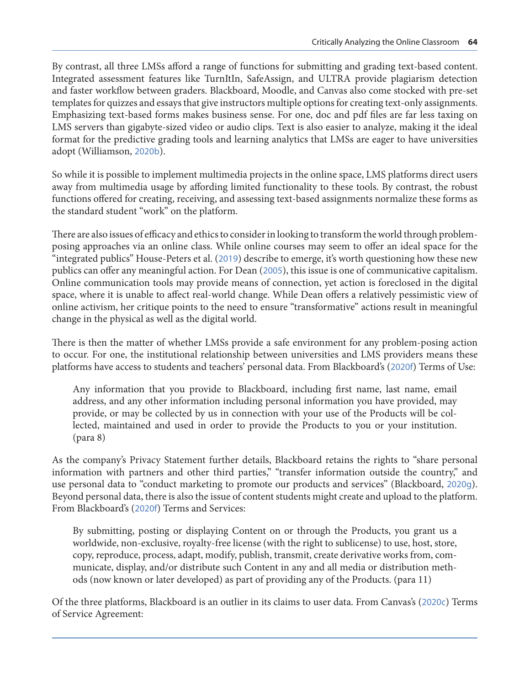By contrast, all three LMSs afford a range of functions for submitting and grading text-based content. Integrated assessment features like TurnItIn, SafeAssign, and ULTRA provide plagiarism detection and faster workflow between graders. Blackboard, Moodle, and Canvas also come stocked with pre-set templates for quizzes and essays that give instructors multiple options for creating text-only assignments. Emphasizing text-based forms makes business sense. For one, doc and pdf files are far less taxing on LMS servers than gigabyte-sized video or audio clips. Text is also easier to analyze, making it the ideal format for the predictive grading tools and learning analytics that LMSs are eager to have universities adopt (Williamson, [2020b](#page-18-0)).

So while it is possible to implement multimedia projects in the online space, LMS platforms direct users away from multimedia usage by affording limited functionality to these tools. By contrast, the robust functions offered for creating, receiving, and assessing text-based assignments normalize these forms as the standard student "work" on the platform.

There are also issues of efficacy and ethics to consider in looking to transform the world through problemposing approaches via an online class. While online courses may seem to offer an ideal space for the "integrated publics" House-Peters et al. ([2019](#page-17-0)) describe to emerge, it's worth questioning how these new publics can offer any meaningful action. For Dean ([2005](#page-17-0)), this issue is one of communicative capitalism. Online communication tools may provide means of connection, yet action is foreclosed in the digital space, where it is unable to affect real-world change. While Dean offers a relatively pessimistic view of online activism, her critique points to the need to ensure "transformative" actions result in meaningful change in the physical as well as the digital world.

There is then the matter of whether LMSs provide a safe environment for any problem-posing action to occur. For one, the institutional relationship between universities and LMS providers means these platforms have access to students and teachers' personal data. From Blackboard's ([2020f](#page-16-0)) Terms of Use:

Any information that you provide to Blackboard, including first name, last name, email address, and any other information including personal information you have provided, may provide, or may be collected by us in connection with your use of the Products will be collected, maintained and used in order to provide the Products to you or your institution. (para 8)

As the company's Privacy Statement further details, Blackboard retains the rights to "share personal information with partners and other third parties," "transfer information outside the country," and use personal data to "conduct marketing to promote our products and services" (Blackboard, [2020g](#page-16-0)). Beyond personal data, there is also the issue of content students might create and upload to the platform. From Blackboard's ([2020f](#page-16-0)) Terms and Services:

By submitting, posting or displaying Content on or through the Products, you grant us a worldwide, non-exclusive, royalty-free license (with the right to sublicense) to use, host, store, copy, reproduce, process, adapt, modify, publish, transmit, create derivative works from, communicate, display, and/or distribute such Content in any and all media or distribution methods (now known or later developed) as part of providing any of the Products. (para 11)

Of the three platforms, Blackboard is an outlier in its claims to user data. From Canvas's ([2020c](#page-16-0)) Terms of Service Agreement: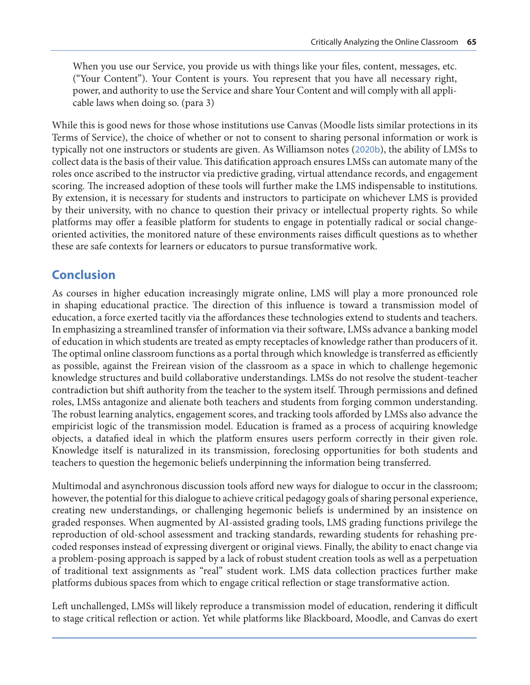When you use our Service, you provide us with things like your files, content, messages, etc. ("Your Content"). Your Content is yours. You represent that you have all necessary right, power, and authority to use the Service and share Your Content and will comply with all applicable laws when doing so. (para 3)

While this is good news for those whose institutions use Canvas (Moodle lists similar protections in its Terms of Service), the choice of whether or not to consent to sharing personal information or work is typically not one instructors or students are given. As Williamson notes ([2020b](#page-18-0)), the ability of LMSs to collect data is the basis of their value. This datification approach ensures LMSs can automate many of the roles once ascribed to the instructor via predictive grading, virtual attendance records, and engagement scoring. The increased adoption of these tools will further make the LMS indispensable to institutions. By extension, it is necessary for students and instructors to participate on whichever LMS is provided by their university, with no chance to question their privacy or intellectual property rights. So while platforms may offer a feasible platform for students to engage in potentially radical or social changeoriented activities, the monitored nature of these environments raises difficult questions as to whether these are safe contexts for learners or educators to pursue transformative work.

### **Conclusion**

As courses in higher education increasingly migrate online, LMS will play a more pronounced role in shaping educational practice. The direction of this influence is toward a transmission model of education, a force exerted tacitly via the affordances these technologies extend to students and teachers. In emphasizing a streamlined transfer of information via their software, LMSs advance a banking model of education in which students are treated as empty receptacles of knowledge rather than producers of it. The optimal online classroom functions as a portal through which knowledge is transferred as efficiently as possible, against the Freirean vision of the classroom as a space in which to challenge hegemonic knowledge structures and build collaborative understandings. LMSs do not resolve the student-teacher contradiction but shift authority from the teacher to the system itself. Through permissions and defined roles, LMSs antagonize and alienate both teachers and students from forging common understanding. The robust learning analytics, engagement scores, and tracking tools afforded by LMSs also advance the empiricist logic of the transmission model. Education is framed as a process of acquiring knowledge objects, a datafied ideal in which the platform ensures users perform correctly in their given role. Knowledge itself is naturalized in its transmission, foreclosing opportunities for both students and teachers to question the hegemonic beliefs underpinning the information being transferred.

Multimodal and asynchronous discussion tools afford new ways for dialogue to occur in the classroom; however, the potential for this dialogue to achieve critical pedagogy goals of sharing personal experience, creating new understandings, or challenging hegemonic beliefs is undermined by an insistence on graded responses. When augmented by AI-assisted grading tools, LMS grading functions privilege the reproduction of old-school assessment and tracking standards, rewarding students for rehashing precoded responses instead of expressing divergent or original views. Finally, the ability to enact change via a problem-posing approach is sapped by a lack of robust student creation tools as well as a perpetuation of traditional text assignments as "real" student work. LMS data collection practices further make platforms dubious spaces from which to engage critical reflection or stage transformative action.

Left unchallenged, LMSs will likely reproduce a transmission model of education, rendering it difficult to stage critical reflection or action. Yet while platforms like Blackboard, Moodle, and Canvas do exert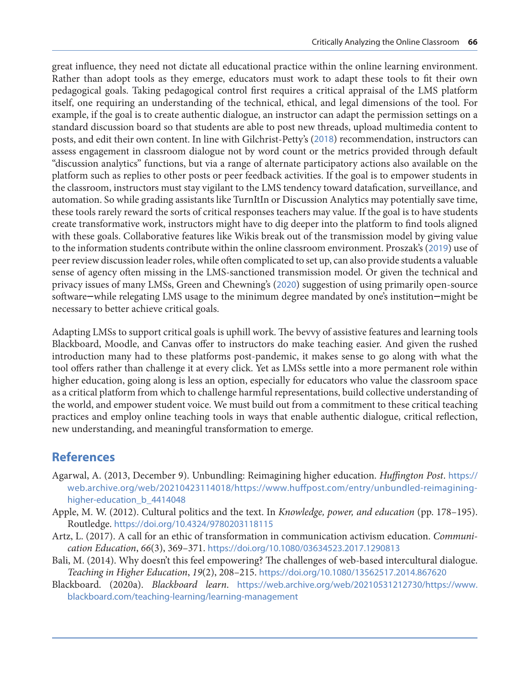<span id="page-15-0"></span>great influence, they need not dictate all educational practice within the online learning environment. Rather than adopt tools as they emerge, educators must work to adapt these tools to fit their own pedagogical goals. Taking pedagogical control first requires a critical appraisal of the LMS platform itself, one requiring an understanding of the technical, ethical, and legal dimensions of the tool. For example, if the goal is to create authentic dialogue, an instructor can adapt the permission settings on a standard discussion board so that students are able to post new threads, upload multimedia content to posts, and edit their own content. In line with Gilchrist-Petty's ([2018](#page-17-0)) recommendation, instructors can assess engagement in classroom dialogue not by word count or the metrics provided through default "discussion analytics" functions, but via a range of alternate participatory actions also available on the platform such as replies to other posts or peer feedback activities. If the goal is to empower students in the classroom, instructors must stay vigilant to the LMS tendency toward datafication, surveillance, and automation. So while grading assistants like TurnItIn or Discussion Analytics may potentially save time, these tools rarely reward the sorts of critical responses teachers may value. If the goal is to have students create transformative work, instructors might have to dig deeper into the platform to find tools aligned with these goals. Collaborative features like Wikis break out of the transmission model by giving value to the information students contribute within the online classroom environment. Proszak's ([2019](#page-18-0)) use of peer review discussion leader roles, while often complicated to set up, can also provide students a valuable sense of agency often missing in the LMS-sanctioned transmission model. Or given the technical and privacy issues of many LMSs, Green and Chewning's ([2020](#page-17-0)) suggestion of using primarily open-source software—while relegating LMS usage to the minimum degree mandated by one's institution—might be necessary to better achieve critical goals.

Adapting LMSs to support critical goals is uphill work. The bevvy of assistive features and learning tools Blackboard, Moodle, and Canvas offer to instructors do make teaching easier. And given the rushed introduction many had to these platforms post-pandemic, it makes sense to go along with what the tool offers rather than challenge it at every click. Yet as LMSs settle into a more permanent role within higher education, going along is less an option, especially for educators who value the classroom space as a critical platform from which to challenge harmful representations, build collective understanding of the world, and empower student voice. We must build out from a commitment to these critical teaching practices and employ online teaching tools in ways that enable authentic dialogue, critical reflection, new understanding, and meaningful transformation to emerge.

## **References**

- Agarwal, A. (2013, December 9). Unbundling: Reimagining higher education. *Huffington Post*. [https://](https://web.archive.org/web/20210423114018/https://www.huffpost.com/entry/unbundled-reimagining-higher-education_b_4414048) [web.archive.org/web/20210423114018/https://www.huffpost.com/entry/unbundled-reimagining](https://web.archive.org/web/20210423114018/https://www.huffpost.com/entry/unbundled-reimagining-higher-education_b_4414048)[higher-education\\_b\\_4414048](https://web.archive.org/web/20210423114018/https://www.huffpost.com/entry/unbundled-reimagining-higher-education_b_4414048)
- Apple, M. W. (2012). Cultural politics and the text. In *Knowledge, power, and education* (pp. 178–195). Routledge. <https://doi.org/10.4324/9780203118115>
- Artz, L. (2017). A call for an ethic of transformation in communication activism education. *Communication Education*, *66*(3), 369–371. <https://doi.org/10.1080/03634523.2017.1290813>
- Bali, M. (2014). Why doesn't this feel empowering? The challenges of web-based intercultural dialogue. *Teaching in Higher Education*, *19*(2), 208–215. <https://doi.org/10.1080/13562517.2014.867620>
- Blackboard. (2020a). *Blackboard learn*. [https://web.archive.org/web/20210531212730/https://www.](https://web.archive.org/web/20210531212730/https://www.blackboard.com/teaching-learning/learning-management) [blackboard.com/teaching-learning/learning-management](https://web.archive.org/web/20210531212730/https://www.blackboard.com/teaching-learning/learning-management)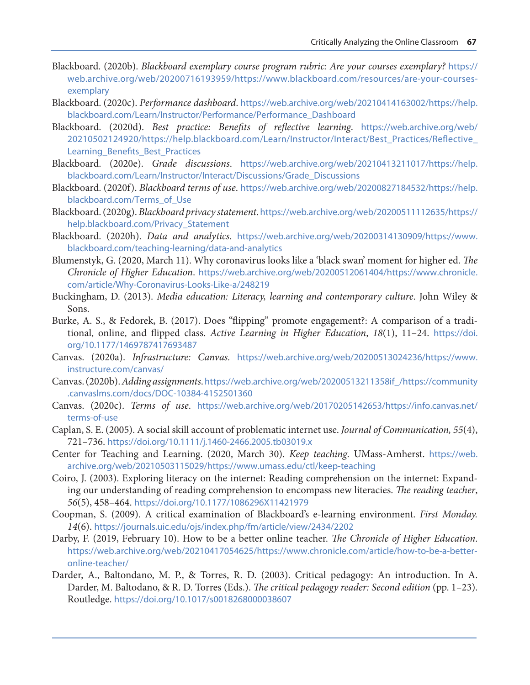- <span id="page-16-0"></span>Blackboard. (2020b). *Blackboard exemplary course program rubric: Are your courses exemplary?* [https://](https://web.archive.org/web/20200716193959/https://www.blackboard.com/resources/are-your-courses-exemplary) [web.archive.org/web/20200716193959/https://www.blackboard.com/resources/are-your-courses](https://web.archive.org/web/20200716193959/https://www.blackboard.com/resources/are-your-courses-exemplary)[exemplary](https://web.archive.org/web/20200716193959/https://www.blackboard.com/resources/are-your-courses-exemplary)
- Blackboard. (2020c). *Performance dashboard*. [https://web.archive.org/web/20210414163002/https://help.](https://web.archive.org/web/20210414163002/https://help.blackboard.com/Learn/Instructor/Performance/Performance_Dashboard) [blackboard.com/Learn/Instructor/Performance/Performance\\_Dashboard](https://web.archive.org/web/20210414163002/https://help.blackboard.com/Learn/Instructor/Performance/Performance_Dashboard)
- Blackboard. (2020d). *Best practice: Benefits of reflective learning*. [https://web.archive.org/web/](https://web.archive.org/web/20210502124920/https://help.blackboard.com/Learn/Instructor/Interact/Best_Practices/Reflective_Learning_Benefits_Best_Practices) [20210502124920/https://help.blackboard.com/Learn/Instructor/Interact/Best\\_Practices/Reflective\\_](https://web.archive.org/web/20210502124920/https://help.blackboard.com/Learn/Instructor/Interact/Best_Practices/Reflective_Learning_Benefits_Best_Practices) [Learning\\_Benefits\\_Best\\_Practices](https://web.archive.org/web/20210502124920/https://help.blackboard.com/Learn/Instructor/Interact/Best_Practices/Reflective_Learning_Benefits_Best_Practices)
- Blackboard. (2020e). *Grade discussions*. [https://web.archive.org/web/20210413211017/https://help.](https://web.archive.org/web/20210413211017/https://help.blackboard.com/Learn/Instructor/Interact/Discussions/Grade_Discussions) [blackboard.com/Learn/Instructor/Interact/Discussions/Grade\\_Discussions](https://web.archive.org/web/20210413211017/https://help.blackboard.com/Learn/Instructor/Interact/Discussions/Grade_Discussions)
- Blackboard. (2020f). *Blackboard terms of use*. [https://web.archive.org/web/20200827184532/https://help.](https://web.archive.org/web/20200827184532/https://help.blackboard.com/Terms_of_Use) [blackboard.com/Terms\\_of\\_Use](https://web.archive.org/web/20200827184532/https://help.blackboard.com/Terms_of_Use)
- Blackboard. (2020g). *Blackboard privacy statement*. [https://web.archive.org/web/20200511112635/https://](https://web.archive.org/web/20200511112635/https://help.blackboard.com/Privacy_Statement) [help.blackboard.com/Privacy\\_Statement](https://web.archive.org/web/20200511112635/https://help.blackboard.com/Privacy_Statement)
- Blackboard. (2020h). *Data and analytics*. [https://web.archive.org/web/20200314130909/https://www.](https://web.archive.org/web/20200314130909/https://www.blackboard.com/teaching-learning/data-and-analytics) [blackboard.com/teaching-learning/data-and-analytics](https://web.archive.org/web/20200314130909/https://www.blackboard.com/teaching-learning/data-and-analytics)
- Blumenstyk, G. (2020, March 11). Why coronavirus looks like a 'black swan' moment for higher ed. *The Chronicle of Higher Education*. [https://web.archive.org/web/20200512061404/https://www.chronicle.](https://web.archive.org/web/20200512061404/https://www.chronicle.com/article/Why-Coronavirus-Looks-Like-a/248219) [com/article/Why-Coronavirus-Looks-Like-a/248219](https://web.archive.org/web/20200512061404/https://www.chronicle.com/article/Why-Coronavirus-Looks-Like-a/248219)
- Buckingham, D. (2013). *Media education: Literacy, learning and contemporary culture*. John Wiley & Sons.
- Burke, A. S., & Fedorek, B. (2017). Does "flipping" promote engagement?: A comparison of a traditional, online, and flipped class. *Active Learning in Higher Education*, *18*(1), 11–24. [https://doi.](https://doi.org/10.1177/1469787417693487) [org/10.1177/1469787417693487](https://doi.org/10.1177/1469787417693487)
- Canvas. (2020a). *Infrastructure: Canvas.* [https://web.archive.org/web/20200513024236/https://www.](https://web.archive.org/web/20200513024236/https://www.instructure.com/canvas/) [instructure.com/canvas/](https://web.archive.org/web/20200513024236/https://www.instructure.com/canvas/)
- Canvas. (2020b). *Adding assignments*. [https://web.archive.org/web/20200513211358if\\_/https://community](https://web.archive.org/web/20200513211358if_/https://community.canvaslms.com/docs/DOC-10384-4152501360) [.canvaslms.com/docs/DOC-10384-4152501360](https://web.archive.org/web/20200513211358if_/https://community.canvaslms.com/docs/DOC-10384-4152501360)
- Canvas. (2020c). *Terms of use*. [https://web.archive.org/web/20170205142653/https://info.canvas.net/](https://web.archive.org/web/20170205142653/https://info.canvas.net/terms-of-use) [terms-of-use](https://web.archive.org/web/20170205142653/https://info.canvas.net/terms-of-use)
- Caplan, S. E. (2005). A social skill account of problematic internet use. *Journal of Communication, 55*(4), 721–736. <https://doi.org/10.1111/j.1460-2466.2005.tb03019.x>
- Center for Teaching and Learning. (2020, March 30). *Keep teaching*. UMass-Amherst. [https://web.](https://web.archive.org/web/20210503115029/https://www.umass.edu/ctl/keep-teaching) [archive.org/web/20210503115029/https://www.umass.edu/ctl/keep-teaching](https://web.archive.org/web/20210503115029/https://www.umass.edu/ctl/keep-teaching)
- Coiro, J. (2003). Exploring literacy on the internet: Reading comprehension on the internet: Expanding our understanding of reading comprehension to encompass new literacies. *The reading teacher*, *56*(5), 458–464. <https://doi.org/10.1177/1086296X11421979>
- Coopman, S. (2009). A critical examination of Blackboard's e-learning environment. *First Monday. 14*(6). <https://journals.uic.edu/ojs/index.php/fm/article/view/2434/2202>
- Darby, F. (2019, February 10). How to be a better online teacher. *The Chronicle of Higher Education*. [https://web.archive.org/web/20210417054625/https://www.chronicle.com/article/how-to-be-a-better](https://web.archive.org/web/20210417054625/https://www.chronicle.com/article/how-to-be-a-better-online-teacher/)[online-teacher/](https://web.archive.org/web/20210417054625/https://www.chronicle.com/article/how-to-be-a-better-online-teacher/)
- Darder, A., Baltondano, M. P., & Torres, R. D. (2003). Critical pedagogy: An introduction. In A. Darder, M. Baltodano, & R. D. Torres (Eds.). *The critical pedagogy reader: Second edition* (pp. 1–23). Routledge. <https://doi.org/10.1017/s0018268000038607>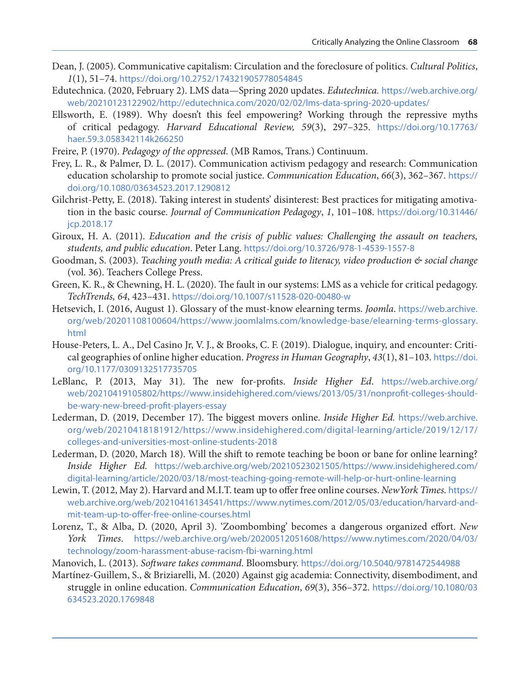- <span id="page-17-0"></span>Dean, J. (2005). Communicative capitalism: Circulation and the foreclosure of politics. *Cultural Politics*, *1*(1), 51–74. <https://doi.org/10.2752/174321905778054845>
- Edutechnica. (2020, February 2). LMS data—Spring 2020 updates. *Edutechnica.* [https://web.archive.org/](https://web.archive.org/web/20210123122902/http://edutechnica.com/2020/02/02/lms-data-spring-2020-updates/) [web/20210123122902/http://edutechnica.com/2020/02/02/lms-data-spring-2020-updates/](https://web.archive.org/web/20210123122902/http://edutechnica.com/2020/02/02/lms-data-spring-2020-updates/)
- Ellsworth, E. (1989). Why doesn't this feel empowering? Working through the repressive myths of critical pedagogy. *Harvard Educational Review, 59*(3), 297–325. [https://doi.org/10.17763/](https://doi.org/10.17763/haer.59.3.058342114k266250) [haer.59.3.058342114k266250](https://doi.org/10.17763/haer.59.3.058342114k266250)
- Freire, P. (1970). *Pedagogy of the oppressed.* (MB Ramos, Trans.) Continuum.
- Frey, L. R., & Palmer, D. L. (2017). Communication activism pedagogy and research: Communication education scholarship to promote social justice. *Communication Education*, *66*(3), 362–367. [https://](https://doi.org/10.1080/03634523.2017.1290812) [doi.org/10.1080/03634523.2017.1290812](https://doi.org/10.1080/03634523.2017.1290812)
- Gilchrist-Petty, E. (2018). Taking interest in students' disinterest: Best practices for mitigating amotivation in the basic course. *Journal of Communication Pedagogy*, *1*, 101–108. [https://doi.org/10.31446/](https://doi.org/10.31446/jcp.2018.17) [jcp.2018.17](https://doi.org/10.31446/jcp.2018.17)
- Giroux, H. A. (2011). *Education and the crisis of public values: Challenging the assault on teachers, students, and public education*. Peter Lang. <https://doi.org/10.3726/978-1-4539-1557-8>
- Goodman, S. (2003). *Teaching youth media: A critical guide to literacy, video production & social change*  (vol. 36). Teachers College Press.
- Green, K. R., & Chewning, H. L. (2020). The fault in our systems: LMS as a vehicle for critical pedagogy. *TechTrends, 64*, 423–431. <https://doi.org/10.1007/s11528-020-00480-w>
- Hetsevich, I. (2016, August 1). Glossary of the must-know elearning terms. *Joomla*. [https://web.archive.](https://web.archive.org/web/20201108100604/https://www.joomlalms.com/knowledge-base/elearning-terms-glossary.html) [org/web/20201108100604/https://www.joomlalms.com/knowledge-base/elearning-terms-glossary.](https://web.archive.org/web/20201108100604/https://www.joomlalms.com/knowledge-base/elearning-terms-glossary.html) [html](https://web.archive.org/web/20201108100604/https://www.joomlalms.com/knowledge-base/elearning-terms-glossary.html)
- House-Peters, L. A., Del Casino Jr, V. J., & Brooks, C. F. (2019). Dialogue, inquiry, and encounter: Critical geographies of online higher education. *Progress in Human Geography*, *43*(1), 81–103. [https://doi.](https://doi.org/10.1177/0309132517735705) [org/10.1177/0309132517735705](https://doi.org/10.1177/0309132517735705)
- LeBlanc, P. (2013, May 31). The new for-profits. *Inside Higher Ed*. [https://web.archive.org/](https://web.archive.org/web/20210419105802/https://www.insidehighered.com/views/2013/05/31/nonprofit-colleges-should-be-wary-new-breed-profit-players-essay) [web/20210419105802/https://www.insidehighered.com/views/2013/05/31/nonprofit-colleges-should](https://web.archive.org/web/20210419105802/https://www.insidehighered.com/views/2013/05/31/nonprofit-colleges-should-be-wary-new-breed-profit-players-essay)[be-wary-new-breed-profit-players-essay](https://web.archive.org/web/20210419105802/https://www.insidehighered.com/views/2013/05/31/nonprofit-colleges-should-be-wary-new-breed-profit-players-essay)
- Lederman, D. (2019, December 17). The biggest movers online. *Inside Higher Ed.* [https://web.archive.](https://web.archive.org/web/20210418181912/https://www.insidehighered.com/digital-learning/article/2019/12/17/colleges-and-universities-most-online-students-2018) [org/web/20210418181912/https://www.insidehighered.com/digital-learning/article/2019/12/17/](https://web.archive.org/web/20210418181912/https://www.insidehighered.com/digital-learning/article/2019/12/17/colleges-and-universities-most-online-students-2018) [colleges-and-universities-most-online-students-2018](https://web.archive.org/web/20210418181912/https://www.insidehighered.com/digital-learning/article/2019/12/17/colleges-and-universities-most-online-students-2018)
- Lederman, D. (2020, March 18). Will the shift to remote teaching be boon or bane for online learning? *Inside Higher Ed.* [https://web.archive.org/web/20210523021505/https://www.insidehighered.com/](https://web.archive.org/web/20210523021505/https://www.insidehighered.com/digital-learning/article/2020/03/18/most-teaching-going-remote-will-help-or-hurt-online-learning) [digital-learning/article/2020/03/18/most-teaching-going-remote-will-help-or-hurt-online-learning](https://web.archive.org/web/20210523021505/https://www.insidehighered.com/digital-learning/article/2020/03/18/most-teaching-going-remote-will-help-or-hurt-online-learning)
- Lewin, T. (2012, May 2). Harvard and M.I.T. team up to offer free online courses. *NewYork Times.* [https://](https://web.archive.org/web/20210416134541/https://www.nytimes.com/2012/05/03/education/harvard-and-mit-team-up-to-offer-free-online-courses.html) [web.archive.org/web/20210416134541/https://www.nytimes.com/2012/05/03/education/harvard-and](https://web.archive.org/web/20210416134541/https://www.nytimes.com/2012/05/03/education/harvard-and-mit-team-up-to-offer-free-online-courses.html)[mit-team-up-to-offer-free-online-courses.html](https://web.archive.org/web/20210416134541/https://www.nytimes.com/2012/05/03/education/harvard-and-mit-team-up-to-offer-free-online-courses.html)
- Lorenz, T., & Alba, D. (2020, April 3). 'Zoombombing' becomes a dangerous organized effort. *New York Times*. [https://web.archive.org/web/20200512051608/https://www.nytimes.com/2020/04/03/](https://web.archive.org/web/20200512051608/https://www.nytimes.com/2020/04/03/technology/zoom-harassment-abuse-racism-fbi-warning.html) [technology/zoom-harassment-abuse-racism-fbi-warning.html](https://web.archive.org/web/20200512051608/https://www.nytimes.com/2020/04/03/technology/zoom-harassment-abuse-racism-fbi-warning.html)
- Manovich, L. (2013). *Software takes command*. Bloomsbury. <https://doi.org/10.5040/9781472544988>
- Martínez-Guillem, S., & Briziarelli, M. (2020) Against gig academia: Connectivity, disembodiment, and struggle in online education. *Communication Education*, *69*(3), 356–372. [https://doi.org/10.1080/03](https://doi.org/10.1080/03634523.2020.1769848) [634523.2020.1769848](https://doi.org/10.1080/03634523.2020.1769848)